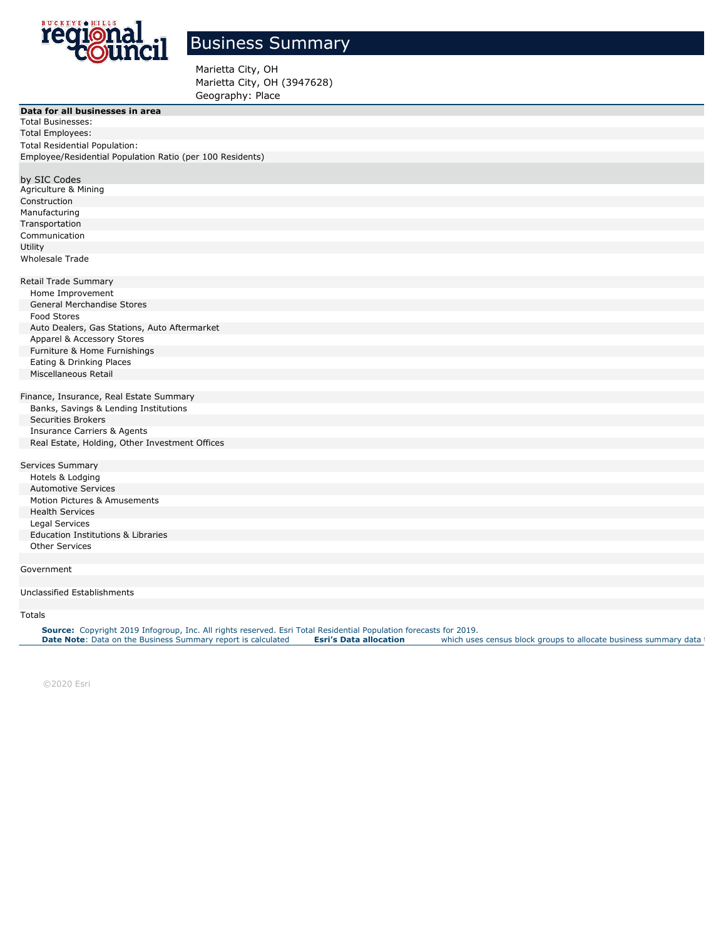

## Business Summary

Marietta City, OH Marietta City, OH (3947628) Geography: Place

| Data for all businesses in area                           |  |
|-----------------------------------------------------------|--|
| <b>Total Businesses:</b>                                  |  |
| <b>Total Employees:</b>                                   |  |
| <b>Total Residential Population:</b>                      |  |
| Employee/Residential Population Ratio (per 100 Residents) |  |
|                                                           |  |
| by SIC Codes                                              |  |
| Agriculture & Mining                                      |  |
| Construction                                              |  |
| Manufacturing                                             |  |
| Transportation                                            |  |
| Communication                                             |  |
| Utility                                                   |  |
| Wholesale Trade                                           |  |
|                                                           |  |
| Retail Trade Summary                                      |  |
| Home Improvement                                          |  |
| <b>General Merchandise Stores</b>                         |  |
| Food Stores                                               |  |
| Auto Dealers, Gas Stations, Auto Aftermarket              |  |
| Apparel & Accessory Stores                                |  |
| Furniture & Home Furnishings                              |  |
| Eating & Drinking Places                                  |  |
| Miscellaneous Retail                                      |  |
|                                                           |  |
| Finance, Insurance, Real Estate Summary                   |  |
| Banks, Savings & Lending Institutions                     |  |
| <b>Securities Brokers</b>                                 |  |
| <b>Insurance Carriers &amp; Agents</b>                    |  |
| Real Estate, Holding, Other Investment Offices            |  |
|                                                           |  |
| Services Summary                                          |  |
| Hotels & Lodging                                          |  |
| <b>Automotive Services</b>                                |  |
| Motion Pictures & Amusements                              |  |
| <b>Health Services</b>                                    |  |
| Legal Services                                            |  |
| <b>Education Institutions &amp; Libraries</b>             |  |
| <b>Other Services</b>                                     |  |
|                                                           |  |
| Government                                                |  |
|                                                           |  |
| Unclassified Establishments                               |  |

## Totals and the contract of the contract of the contract of the contract of the contract of the contract of the contract of the contract of the contract of the contract of the contract of the contract of the contract of the

Source: Copyright 2019 Infogroup, Inc. All rights reserved. [E](http://doc.arcgis.com/en/esri-demographics/reference/data-allocation-method.htm)sri Total Residential Population forecasts for 2019.<br>Date Note: Data on the Business Summary report is calculated Esri's Data allocation which uses census block

©2020 Esri Page 1 of 2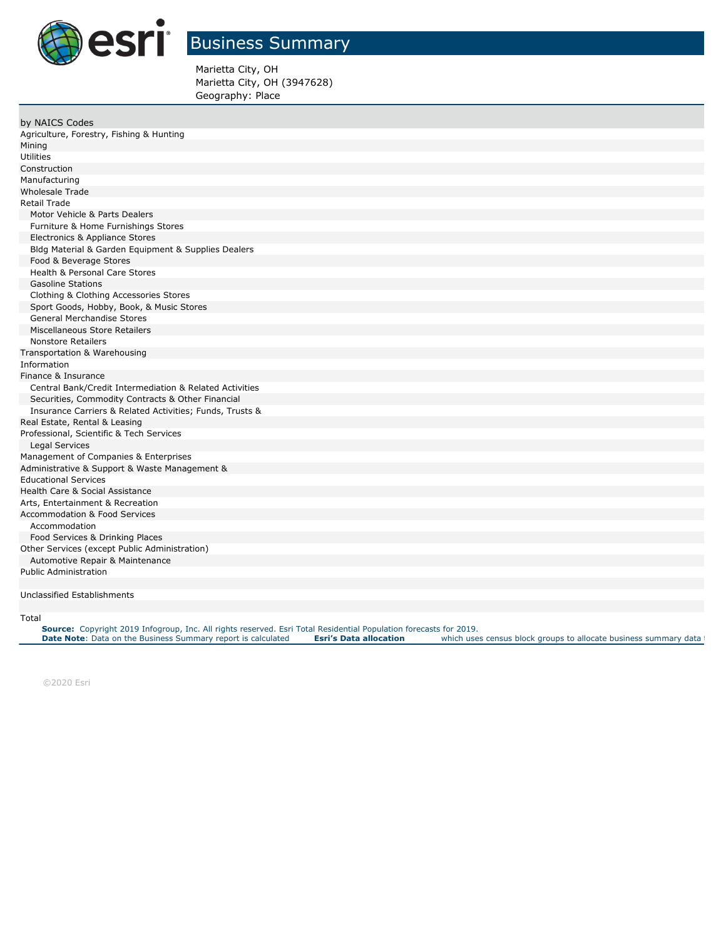

## Business Summary

Marietta City, OH Marietta City, OH (3947628) Geography: Place

| by NAICS Codes                                           |
|----------------------------------------------------------|
| Agriculture, Forestry, Fishing & Hunting                 |
|                                                          |
| Mining                                                   |
| Utilities                                                |
| Construction                                             |
| Manufacturing                                            |
| <b>Wholesale Trade</b>                                   |
| <b>Retail Trade</b>                                      |
| Motor Vehicle & Parts Dealers                            |
| Furniture & Home Furnishings Stores                      |
| Electronics & Appliance Stores                           |
| Bldg Material & Garden Equipment & Supplies Dealers      |
| Food & Beverage Stores                                   |
| <b>Health &amp; Personal Care Stores</b>                 |
| <b>Gasoline Stations</b>                                 |
| Clothing & Clothing Accessories Stores                   |
| Sport Goods, Hobby, Book, & Music Stores                 |
| <b>General Merchandise Stores</b>                        |
| Miscellaneous Store Retailers                            |
| <b>Nonstore Retailers</b>                                |
| Transportation & Warehousing                             |
| Information                                              |
| Finance & Insurance                                      |
| Central Bank/Credit Intermediation & Related Activities  |
| Securities, Commodity Contracts & Other Financial        |
| Insurance Carriers & Related Activities; Funds, Trusts & |
| Real Estate, Rental & Leasing                            |
| Professional, Scientific & Tech Services                 |
| Legal Services                                           |
| Management of Companies & Enterprises                    |
| Administrative & Support & Waste Management &            |
| <b>Educational Services</b>                              |
| Health Care & Social Assistance                          |
| Arts, Entertainment & Recreation                         |
| Accommodation & Food Services                            |
| Accommodation                                            |
| Food Services & Drinking Places                          |
| Other Services (except Public Administration)            |
| Automotive Repair & Maintenance                          |
| <b>Public Administration</b>                             |
|                                                          |
| Unclassified Establishments                              |
|                                                          |

Total 1,004

Source: Copyright 2019 Infogroup, Inc. All rights reserved. [E](http://doc.arcgis.com/en/esri-demographics/reference/data-allocation-method.htm)sri Total Residential Population forecasts for 2019.<br>Date Note: Data on the Business Summary report is calculated Esri's Data allocation which uses census block

©2020 Esri Page 2 of 2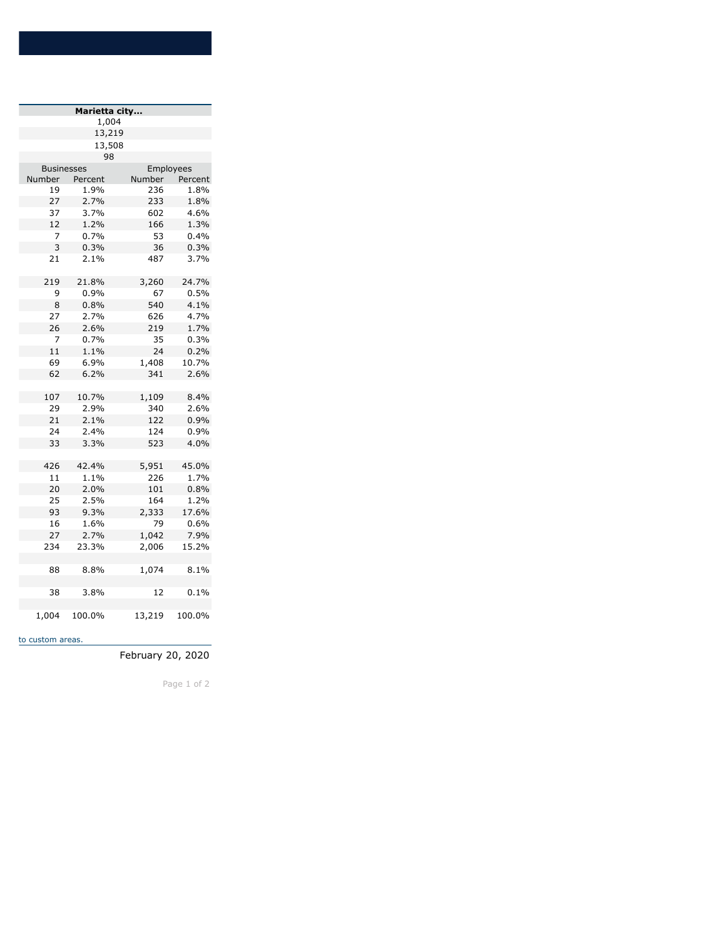| Marietta city     |         |               |         |  |  |  |
|-------------------|---------|---------------|---------|--|--|--|
| 1,004             |         |               |         |  |  |  |
|                   | 13,219  |               |         |  |  |  |
| 13,508            |         |               |         |  |  |  |
| 98                |         |               |         |  |  |  |
| <b>Businesses</b> |         | Employees     |         |  |  |  |
| Number            | Percent | <b>Number</b> | Percent |  |  |  |
| 19                | 1.9%    | 236           | 1.8%    |  |  |  |
| 27                | 2.7%    | 233           | 1.8%    |  |  |  |
| 37                | 3.7%    | 602           | 4.6%    |  |  |  |
| 12                | 1.2%    | 166           | 1.3%    |  |  |  |
| 7                 | 0.7%    | 53            | 0.4%    |  |  |  |
| 3                 | 0.3%    | 36            | 0.3%    |  |  |  |
| 21                | 2.1%    | 487           | 3.7%    |  |  |  |
| 219               | 21.8%   | 3,260         | 24.7%   |  |  |  |
| 9                 | 0.9%    | 67            | 0.5%    |  |  |  |
| 8                 | 0.8%    | 540           | 4.1%    |  |  |  |
| 27                | 2.7%    | 626           | 4.7%    |  |  |  |
| 26                | 2.6%    | 219           | 1.7%    |  |  |  |
| 7                 | 0.7%    | 35            | 0.3%    |  |  |  |
| 11                | 1.1%    | 24            | 0.2%    |  |  |  |
| 69                | 6.9%    | 1,408         | 10.7%   |  |  |  |
| 62                | 6.2%    | 341           | 2.6%    |  |  |  |
|                   |         |               |         |  |  |  |
| 107               | 10.7%   | 1,109         | 8.4%    |  |  |  |
| 29                | 2.9%    | 340           | 2.6%    |  |  |  |
| 21                | 2.1%    | 122           | 0.9%    |  |  |  |
| 24                | 2.4%    | 124           | 0.9%    |  |  |  |
| 33                | 3.3%    | 523           | 4.0%    |  |  |  |
|                   |         |               |         |  |  |  |
| 426               | 42.4%   | 5,951         | 45.0%   |  |  |  |
| 11                | 1.1%    | 226           | 1.7%    |  |  |  |
| 20                | 2.0%    | 101           | 0.8%    |  |  |  |
| 25                | 2.5%    | 164           | 1.2%    |  |  |  |
| 93                | 9.3%    | 2,333         | 17.6%   |  |  |  |
| 16                | 1.6%    | 79            | 0.6%    |  |  |  |
| 27                | 2.7%    | 1,042         | 7.9%    |  |  |  |
| 234               | 23.3%   | 2,006         | 15.2%   |  |  |  |
| 88                | 8.8%    | 1,074         | 8.1%    |  |  |  |
| 38                | 3.8%    | 12            | 0.1%    |  |  |  |
| 1,004             | 100.0%  | 13,219        | 100.0%  |  |  |  |

to custom areas.

February 20, 2020

Page 1 of 2